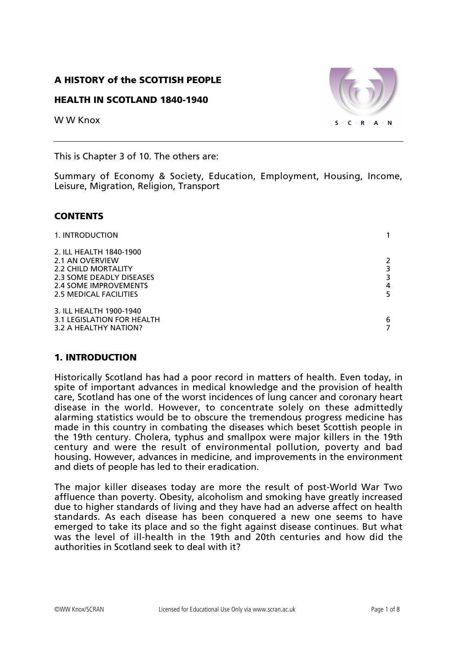### A HISTORY of the SCOTTISH PEOPLE

#### HEALTH IN SCOTLAND 1840-1940

W W Knox



This is Chapter 3 of 10. The others are:

Summary of Economy & Society, Education, Employment, Housing, Income, Leisure, Migration, Religion, Transport

#### **CONTENTS**

| 1. INTRODUCTION            |                |
|----------------------------|----------------|
| 2. ILL HEALTH 1840-1900    |                |
| 2.1 AN OVERVIEW            | $\overline{2}$ |
| 2.2 CHILD MORTALITY        |                |
| 2.3 SOME DEADLY DISEASES   | 3              |
| 2.4 SOME IMPROVEMENTS      | 4              |
| 2.5 MEDICAL FACILITIES     | 5              |
| 3. ILL HEALTH 1900-1940    |                |
| 3.1 LEGISLATION FOR HEALTH | 6              |
| 3.2 A HEALTHY NATION?      |                |

### 1. INTRODUCTION

Historically Scotland has had a poor record in matters of health. Even today, in spite of important advances in medical knowledge and the provision of health care, Scotland has one of the worst incidences of lung cancer and coronary heart disease in the world. However, to concentrate solely on these admittedly alarming statistics would be to obscure the tremendous progress medicine has made in this country in combating the diseases which beset Scottish people in the 19th century. Cholera, typhus and smallpox were major killers in the 19th century and were the result of environmental pollution, poverty and bad housing. However, advances in medicine, and improvements in the environment and diets of people has led to their eradication.

The major killer diseases today are more the result of post-World War Two affluence than poverty. Obesity, alcoholism and smoking have greatly increased due to higher standards of living and they have had an adverse affect on health standards. As each disease has been conquered a new one seems to have emerged to take its place and so the fight against disease continues. But what was the level of ill-health in the 19th and 20th centuries and how did the authorities in Scotland seek to deal with it?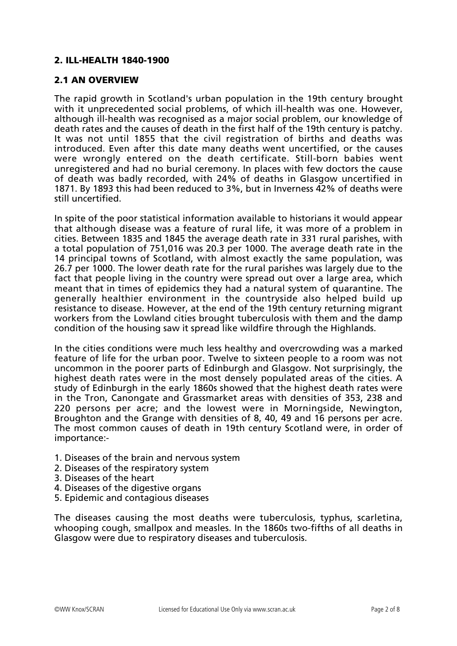### 2. ILL-HEALTH 1840-1900

#### 2.1 AN OVERVIEW

The rapid growth in Scotland's urban population in the 19th century brought with it unprecedented social problems, of which ill-health was one. However, although ill-health was recognised as a major social problem, our knowledge of death rates and the causes of death in the first half of the 19th century is patchy. It was not until 1855 that the civil registration of births and deaths was introduced. Even after this date many deaths went uncertified, or the causes were wrongly entered on the death certificate. Still-born babies went unregistered and had no burial ceremony. In places with few doctors the cause of death was badly recorded, with 24% of deaths in Glasgow uncertified in 1871. By 1893 this had been reduced to 3%, but in Inverness 42% of deaths were still uncertified.

In spite of the poor statistical information available to historians it would appear that although disease was a feature of rural life, it was more of a problem in cities. Between 1835 and 1845 the average death rate in 331 rural parishes, with a total population of 751,016 was 20.3 per 1000. The average death rate in the 14 principal towns of Scotland, with almost exactly the same population, was 26.7 per 1000. The lower death rate for the rural parishes was largely due to the fact that people living in the country were spread out over a large area, which meant that in times of epidemics they had a natural system of quarantine. The generally healthier environment in the countryside also helped build up resistance to disease. However, at the end of the 19th century returning migrant workers from the Lowland cities brought tuberculosis with them and the damp condition of the housing saw it spread like wildfire through the Highlands.

In the cities conditions were much less healthy and overcrowding was a marked feature of life for the urban poor. Twelve to sixteen people to a room was not uncommon in the poorer parts of Edinburgh and Glasgow. Not surprisingly, the highest death rates were in the most densely populated areas of the cities. A study of Edinburgh in the early 1860s showed that the highest death rates were in the Tron, Canongate and Grassmarket areas with densities of 353, 238 and 220 persons per acre; and the lowest were in Morningside, Newington, Broughton and the Grange with densities of 8, 40, 49 and 16 persons per acre. The most common causes of death in 19th century Scotland were, in order of importance:-

- 1. Diseases of the brain and nervous system
- 2. Diseases of the respiratory system
- 3. Diseases of the heart
- 4. Diseases of the digestive organs
- 5. Epidemic and contagious diseases

The diseases causing the most deaths were tuberculosis, typhus, scarletina, whooping cough, smallpox and measles. In the 1860s two-fifths of all deaths in Glasgow were due to respiratory diseases and tuberculosis.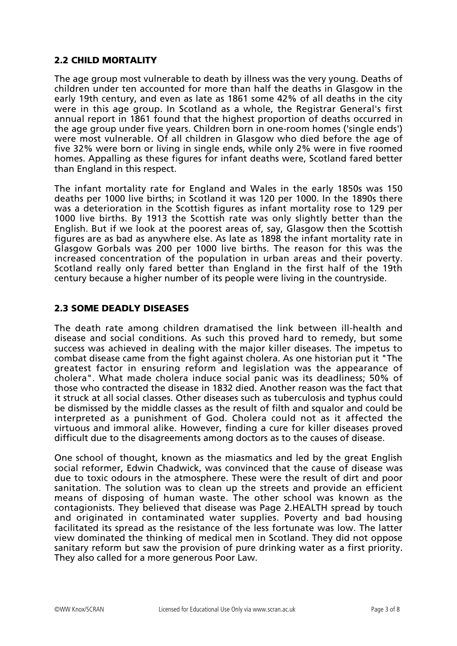## 2.2 CHILD MORTALITY

The age group most vulnerable to death by illness was the very young. Deaths of children under ten accounted for more than half the deaths in Glasgow in the early 19th century, and even as late as 1861 some 42% of all deaths in the city were in this age group. In Scotland as a whole, the Registrar General's first annual report in 1861 found that the highest proportion of deaths occurred in the age group under five years. Children born in one-room homes ('single ends') were most vulnerable. Of all children in Glasgow who died before the age of five 32% were born or living in single ends, while only 2% were in five roomed homes. Appalling as these figures for infant deaths were, Scotland fared better than England in this respect.

The infant mortality rate for England and Wales in the early 1850s was 150 deaths per 1000 live births; in Scotland it was 120 per 1000. In the 1890s there was a deterioration in the Scottish figures as infant mortality rose to 129 per 1000 live births. By 1913 the Scottish rate was only slightly better than the English. But if we look at the poorest areas of, say, Glasgow then the Scottish figures are as bad as anywhere else. As late as 1898 the infant mortality rate in Glasgow Gorbals was 200 per 1000 live births. The reason for this was the increased concentration of the population in urban areas and their poverty. Scotland really only fared better than England in the first half of the 19th century because a higher number of its people were living in the countryside.

## 2.3 SOME DEADLY DISEASES

The death rate among children dramatised the link between ill-health and disease and social conditions. As such this proved hard to remedy, but some success was achieved in dealing with the major killer diseases. The impetus to combat disease came from the fight against cholera. As one historian put it "The greatest factor in ensuring reform and legislation was the appearance of cholera". What made cholera induce social panic was its deadliness; 50% of those who contracted the disease in 1832 died. Another reason was the fact that it struck at all social classes. Other diseases such as tuberculosis and typhus could be dismissed by the middle classes as the result of filth and squalor and could be interpreted as a punishment of God. Cholera could not as it affected the virtuous and immoral alike. However, finding a cure for killer diseases proved difficult due to the disagreements among doctors as to the causes of disease.

One school of thought, known as the miasmatics and led by the great English social reformer, Edwin Chadwick, was convinced that the cause of disease was due to toxic odours in the atmosphere. These were the result of dirt and poor sanitation. The solution was to clean up the streets and provide an efficient means of disposing of human waste. The other school was known as the contagionists. They believed that disease was Page 2.HEALTH spread by touch and originated in contaminated water supplies. Poverty and bad housing facilitated its spread as the resistance of the less fortunate was low. The latter view dominated the thinking of medical men in Scotland. They did not oppose sanitary reform but saw the provision of pure drinking water as a first priority. They also called for a more generous Poor Law.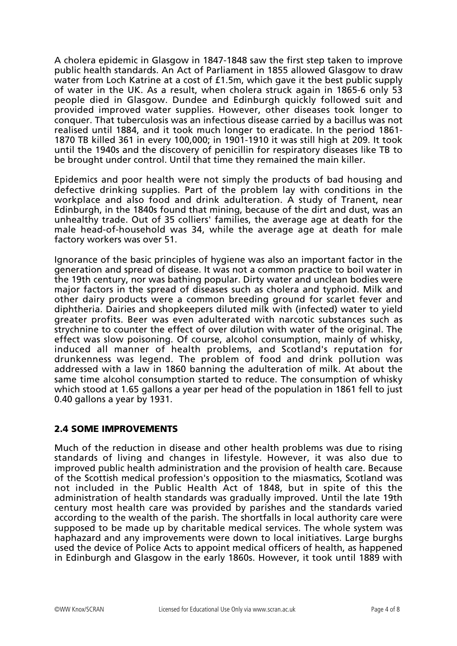A cholera epidemic in Glasgow in 1847-1848 saw the first step taken to improve public health standards. An Act of Parliament in 1855 allowed Glasgow to draw water from Loch Katrine at a cost of £1.5m, which gave it the best public supply of water in the UK. As a result, when cholera struck again in 1865-6 only 53 people died in Glasgow. Dundee and Edinburgh quickly followed suit and provided improved water supplies. However, other diseases took longer to conquer. That tuberculosis was an infectious disease carried by a bacillus was not realised until 1884, and it took much longer to eradicate. In the period 1861- 1870 TB killed 361 in every 100,000; in 1901-1910 it was still high at 209. It took until the 1940s and the discovery of penicillin for respiratory diseases like TB to be brought under control. Until that time they remained the main killer.

Epidemics and poor health were not simply the products of bad housing and defective drinking supplies. Part of the problem lay with conditions in the workplace and also food and drink adulteration. A study of Tranent, near Edinburgh, in the 1840s found that mining, because of the dirt and dust, was an unhealthy trade. Out of 35 colliers' families, the average age at death for the male head-of-household was 34, while the average age at death for male factory workers was over 51.

Ignorance of the basic principles of hygiene was also an important factor in the generation and spread of disease. It was not a common practice to boil water in the 19th century, nor was bathing popular. Dirty water and unclean bodies were major factors in the spread of diseases such as cholera and typhoid. Milk and other dairy products were a common breeding ground for scarlet fever and diphtheria. Dairies and shopkeepers diluted milk with (infected) water to yield greater profits. Beer was even adulterated with narcotic substances such as strychnine to counter the effect of over dilution with water of the original. The effect was slow poisoning. Of course, alcohol consumption, mainly of whisky, induced all manner of health problems, and Scotland's reputation for drunkenness was legend. The problem of food and drink pollution was addressed with a law in 1860 banning the adulteration of milk. At about the same time alcohol consumption started to reduce. The consumption of whisky which stood at 1.65 gallons a year per head of the population in 1861 fell to just 0.40 gallons a year by 1931.

# 2.4 SOME IMPROVEMENTS

Much of the reduction in disease and other health problems was due to rising standards of living and changes in lifestyle. However, it was also due to improved public health administration and the provision of health care. Because of the Scottish medical profession's opposition to the miasmatics, Scotland was not included in the Public Health Act of 1848, but in spite of this the administration of health standards was gradually improved. Until the late 19th century most health care was provided by parishes and the standards varied according to the wealth of the parish. The shortfalls in local authority care were supposed to be made up by charitable medical services. The whole system was haphazard and any improvements were down to local initiatives. Large burghs used the device of Police Acts to appoint medical officers of health, as happened in Edinburgh and Glasgow in the early 1860s. However, it took until 1889 with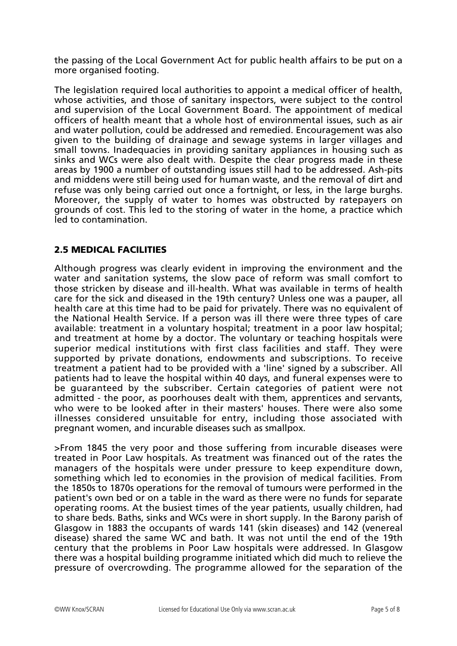the passing of the Local Government Act for public health affairs to be put on a more organised footing.

The legislation required local authorities to appoint a medical officer of health, whose activities, and those of sanitary inspectors, were subject to the control and supervision of the Local Government Board. The appointment of medical officers of health meant that a whole host of environmental issues, such as air and water pollution, could be addressed and remedied. Encouragement was also given to the building of drainage and sewage systems in larger villages and small towns. Inadequacies in providing sanitary appliances in housing such as sinks and WCs were also dealt with. Despite the clear progress made in these areas by 1900 a number of outstanding issues still had to be addressed. Ash-pits and middens were still being used for human waste, and the removal of dirt and refuse was only being carried out once a fortnight, or less, in the large burghs. Moreover, the supply of water to homes was obstructed by ratepayers on grounds of cost. This led to the storing of water in the home, a practice which led to contamination.

### 2.5 MEDICAL FACILITIES

Although progress was clearly evident in improving the environment and the water and sanitation systems, the slow pace of reform was small comfort to those stricken by disease and ill-health. What was available in terms of health care for the sick and diseased in the 19th century? Unless one was a pauper, all health care at this time had to be paid for privately. There was no equivalent of the National Health Service. If a person was ill there were three types of care available: treatment in a voluntary hospital; treatment in a poor law hospital; and treatment at home by a doctor. The voluntary or teaching hospitals were superior medical institutions with first class facilities and staff. They were supported by private donations, endowments and subscriptions. To receive treatment a patient had to be provided with a 'line' signed by a subscriber. All patients had to leave the hospital within 40 days, and funeral expenses were to be guaranteed by the subscriber. Certain categories of patient were not admitted - the poor, as poorhouses dealt with them, apprentices and servants, who were to be looked after in their masters' houses. There were also some illnesses considered unsuitable for entry, including those associated with pregnant women, and incurable diseases such as smallpox.

>From 1845 the very poor and those suffering from incurable diseases were treated in Poor Law hospitals. As treatment was financed out of the rates the managers of the hospitals were under pressure to keep expenditure down, something which led to economies in the provision of medical facilities. From the 1850s to 1870s operations for the removal of tumours were performed in the patient's own bed or on a table in the ward as there were no funds for separate operating rooms. At the busiest times of the year patients, usually children, had to share beds. Baths, sinks and WCs were in short supply. In the Barony parish of Glasgow in 1883 the occupants of wards 141 (skin diseases) and 142 (venereal disease) shared the same WC and bath. It was not until the end of the 19th century that the problems in Poor Law hospitals were addressed. In Glasgow there was a hospital building programme initiated which did much to relieve the pressure of overcrowding. The programme allowed for the separation of the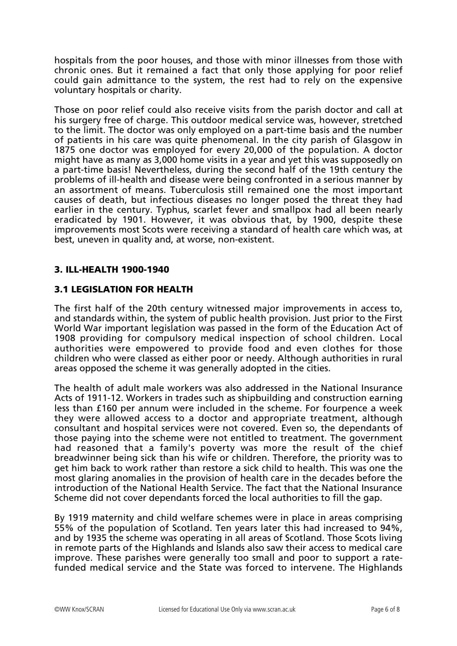hospitals from the poor houses, and those with minor illnesses from those with chronic ones. But it remained a fact that only those applying for poor relief could gain admittance to the system, the rest had to rely on the expensive voluntary hospitals or charity.

Those on poor relief could also receive visits from the parish doctor and call at his surgery free of charge. This outdoor medical service was, however, stretched to the limit. The doctor was only employed on a part-time basis and the number of patients in his care was quite phenomenal. In the city parish of Glasgow in 1875 one doctor was employed for every 20,000 of the population. A doctor might have as many as 3,000 home visits in a year and yet this was supposedly on a part-time basis! Nevertheless, during the second half of the 19th century the problems of ill-health and disease were being confronted in a serious manner by an assortment of means. Tuberculosis still remained one the most important causes of death, but infectious diseases no longer posed the threat they had earlier in the century. Typhus, scarlet fever and smallpox had all been nearly eradicated by 1901. However, it was obvious that, by 1900, despite these improvements most Scots were receiving a standard of health care which was, at best, uneven in quality and, at worse, non-existent.

### 3. ILL-HEALTH 1900-1940

## 3.1 LEGISLATION FOR HEALTH

The first half of the 20th century witnessed major improvements in access to, and standards within, the system of public health provision. Just prior to the First World War important legislation was passed in the form of the Education Act of 1908 providing for compulsory medical inspection of school children. Local authorities were empowered to provide food and even clothes for those children who were classed as either poor or needy. Although authorities in rural areas opposed the scheme it was generally adopted in the cities.

The health of adult male workers was also addressed in the National Insurance Acts of 1911-12. Workers in trades such as shipbuilding and construction earning less than £160 per annum were included in the scheme. For fourpence a week they were allowed access to a doctor and appropriate treatment, although consultant and hospital services were not covered. Even so, the dependants of those paying into the scheme were not entitled to treatment. The government had reasoned that a family's poverty was more the result of the chief breadwinner being sick than his wife or children. Therefore, the priority was to get him back to work rather than restore a sick child to health. This was one the most glaring anomalies in the provision of health care in the decades before the introduction of the National Health Service. The fact that the National Insurance Scheme did not cover dependants forced the local authorities to fill the gap.

By 1919 maternity and child welfare schemes were in place in areas comprising 55% of the population of Scotland. Ten years later this had increased to 94%, and by 1935 the scheme was operating in all areas of Scotland. Those Scots living in remote parts of the Highlands and Islands also saw their access to medical care improve. These parishes were generally too small and poor to support a ratefunded medical service and the State was forced to intervene. The Highlands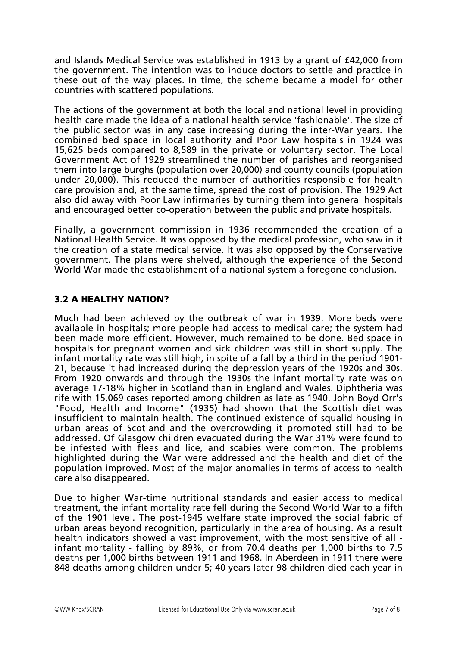and Islands Medical Service was established in 1913 by a grant of £42,000 from the government. The intention was to induce doctors to settle and practice in these out of the way places. In time, the scheme became a model for other countries with scattered populations.

The actions of the government at both the local and national level in providing health care made the idea of a national health service 'fashionable'. The size of the public sector was in any case increasing during the inter-War years. The combined bed space in local authority and Poor Law hospitals in 1924 was 15,625 beds compared to 8,589 in the private or voluntary sector. The Local Government Act of 1929 streamlined the number of parishes and reorganised them into large burghs (population over 20,000) and county councils (population under 20,000). This reduced the number of authorities responsible for health care provision and, at the same time, spread the cost of provision. The 1929 Act also did away with Poor Law infirmaries by turning them into general hospitals and encouraged better co-operation between the public and private hospitals.

Finally, a government commission in 1936 recommended the creation of a National Health Service. It was opposed by the medical profession, who saw in it the creation of a state medical service. It was also opposed by the Conservative government. The plans were shelved, although the experience of the Second World War made the establishment of a national system a foregone conclusion.

# 3.2 A HEALTHY NATION?

Much had been achieved by the outbreak of war in 1939. More beds were available in hospitals; more people had access to medical care; the system had been made more efficient. However, much remained to be done. Bed space in hospitals for pregnant women and sick children was still in short supply. The infant mortality rate was still high, in spite of a fall by a third in the period 1901- 21, because it had increased during the depression years of the 1920s and 30s. From 1920 onwards and through the 1930s the infant mortality rate was on average 17-18% higher in Scotland than in England and Wales. Diphtheria was rife with 15,069 cases reported among children as late as 1940. John Boyd Orr's "Food, Health and Income" (1935) had shown that the Scottish diet was insufficient to maintain health. The continued existence of squalid housing in urban areas of Scotland and the overcrowding it promoted still had to be addressed. Of Glasgow children evacuated during the War 31% were found to be infested with fleas and lice, and scabies were common. The problems highlighted during the War were addressed and the health and diet of the population improved. Most of the major anomalies in terms of access to health care also disappeared.

Due to higher War-time nutritional standards and easier access to medical treatment, the infant mortality rate fell during the Second World War to a fifth of the 1901 level. The post-1945 welfare state improved the social fabric of urban areas beyond recognition, particularly in the area of housing. As a result health indicators showed a vast improvement, with the most sensitive of all infant mortality - falling by 89%, or from 70.4 deaths per 1,000 births to 7.5 deaths per 1,000 births between 1911 and 1968. In Aberdeen in 1911 there were 848 deaths among children under 5; 40 years later 98 children died each year in